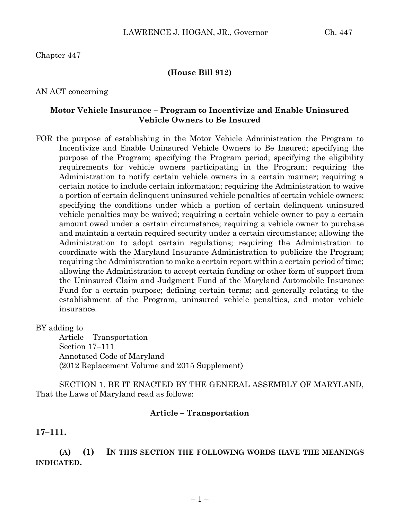# Chapter 447

### **(House Bill 912)**

#### AN ACT concerning

## **Motor Vehicle Insurance – Program to Incentivize and Enable Uninsured Vehicle Owners to Be Insured**

FOR the purpose of establishing in the Motor Vehicle Administration the Program to Incentivize and Enable Uninsured Vehicle Owners to Be Insured; specifying the purpose of the Program; specifying the Program period; specifying the eligibility requirements for vehicle owners participating in the Program; requiring the Administration to notify certain vehicle owners in a certain manner; requiring a certain notice to include certain information; requiring the Administration to waive a portion of certain delinquent uninsured vehicle penalties of certain vehicle owners; specifying the conditions under which a portion of certain delinquent uninsured vehicle penalties may be waived; requiring a certain vehicle owner to pay a certain amount owed under a certain circumstance; requiring a vehicle owner to purchase and maintain a certain required security under a certain circumstance; allowing the Administration to adopt certain regulations; requiring the Administration to coordinate with the Maryland Insurance Administration to publicize the Program; requiring the Administration to make a certain report within a certain period of time; allowing the Administration to accept certain funding or other form of support from the Uninsured Claim and Judgment Fund of the Maryland Automobile Insurance Fund for a certain purpose; defining certain terms; and generally relating to the establishment of the Program, uninsured vehicle penalties, and motor vehicle insurance.

BY adding to

Article – Transportation Section 17–111 Annotated Code of Maryland (2012 Replacement Volume and 2015 Supplement)

SECTION 1. BE IT ENACTED BY THE GENERAL ASSEMBLY OF MARYLAND, That the Laws of Maryland read as follows:

#### **Article – Transportation**

**17–111.**

**(A) (1) IN THIS SECTION THE FOLLOWING WORDS HAVE THE MEANINGS INDICATED.**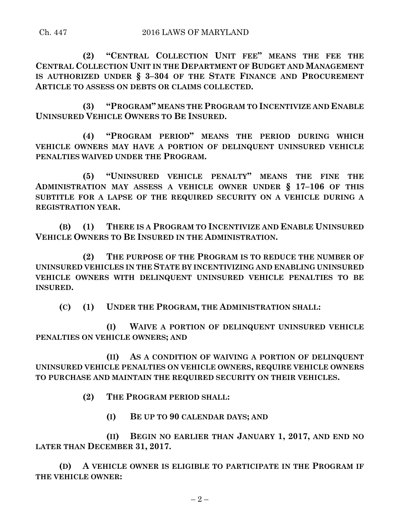**(2) "CENTRAL COLLECTION UNIT FEE" MEANS THE FEE THE CENTRAL COLLECTION UNIT IN THE DEPARTMENT OF BUDGET AND MANAGEMENT IS AUTHORIZED UNDER § 3–304 OF THE STATE FINANCE AND PROCUREMENT ARTICLE TO ASSESS ON DEBTS OR CLAIMS COLLECTED.**

**(3) "PROGRAM" MEANS THE PROGRAM TO INCENTIVIZE AND ENABLE UNINSURED VEHICLE OWNERS TO BE INSURED.**

**(4) "PROGRAM PERIOD" MEANS THE PERIOD DURING WHICH VEHICLE OWNERS MAY HAVE A PORTION OF DELINQUENT UNINSURED VEHICLE PENALTIES WAIVED UNDER THE PROGRAM.**

**(5) "UNINSURED VEHICLE PENALTY" MEANS THE FINE THE ADMINISTRATION MAY ASSESS A VEHICLE OWNER UNDER § 17–106 OF THIS SUBTITLE FOR A LAPSE OF THE REQUIRED SECURITY ON A VEHICLE DURING A REGISTRATION YEAR.**

**(B) (1) THERE IS A PROGRAM TO INCENTIVIZE AND ENABLE UNINSURED VEHICLE OWNERS TO BE INSURED IN THE ADMINISTRATION.**

**(2) THE PURPOSE OF THE PROGRAM IS TO REDUCE THE NUMBER OF UNINSURED VEHICLES IN THE STATE BY INCENTIVIZING AND ENABLING UNINSURED VEHICLE OWNERS WITH DELINQUENT UNINSURED VEHICLE PENALTIES TO BE INSURED.**

**(C) (1) UNDER THE PROGRAM, THE ADMINISTRATION SHALL:**

**(I) WAIVE A PORTION OF DELINQUENT UNINSURED VEHICLE PENALTIES ON VEHICLE OWNERS; AND**

**(II) AS A CONDITION OF WAIVING A PORTION OF DELINQUENT UNINSURED VEHICLE PENALTIES ON VEHICLE OWNERS, REQUIRE VEHICLE OWNERS TO PURCHASE AND MAINTAIN THE REQUIRED SECURITY ON THEIR VEHICLES.**

**(2) THE PROGRAM PERIOD SHALL:**

**(I) BE UP TO 90 CALENDAR DAYS; AND**

**(II) BEGIN NO EARLIER THAN JANUARY 1, 2017, AND END NO LATER THAN DECEMBER 31, 2017.**

**(D) A VEHICLE OWNER IS ELIGIBLE TO PARTICIPATE IN THE PROGRAM IF THE VEHICLE OWNER:**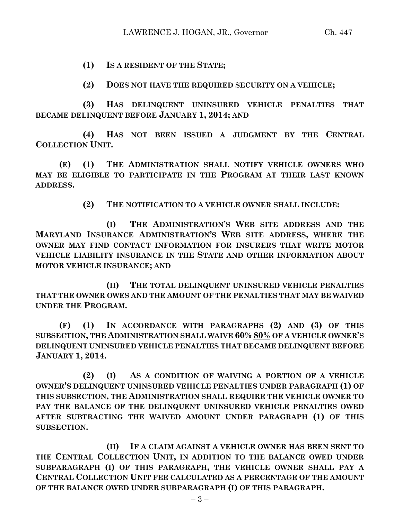**(1) IS A RESIDENT OF THE STATE;**

**(2) DOES NOT HAVE THE REQUIRED SECURITY ON A VEHICLE;**

**(3) HAS DELINQUENT UNINSURED VEHICLE PENALTIES THAT BECAME DELINQUENT BEFORE JANUARY 1, 2014; AND**

**(4) HAS NOT BEEN ISSUED A JUDGMENT BY THE CENTRAL COLLECTION UNIT.**

**(E) (1) THE ADMINISTRATION SHALL NOTIFY VEHICLE OWNERS WHO MAY BE ELIGIBLE TO PARTICIPATE IN THE PROGRAM AT THEIR LAST KNOWN ADDRESS.**

**(2) THE NOTIFICATION TO A VEHICLE OWNER SHALL INCLUDE:**

**(I) THE ADMINISTRATION'S WEB SITE ADDRESS AND THE MARYLAND INSURANCE ADMINISTRATION'S WEB SITE ADDRESS, WHERE THE OWNER MAY FIND CONTACT INFORMATION FOR INSURERS THAT WRITE MOTOR VEHICLE LIABILITY INSURANCE IN THE STATE AND OTHER INFORMATION ABOUT MOTOR VEHICLE INSURANCE; AND**

**(II) THE TOTAL DELINQUENT UNINSURED VEHICLE PENALTIES THAT THE OWNER OWES AND THE AMOUNT OF THE PENALTIES THAT MAY BE WAIVED UNDER THE PROGRAM.**

**(F) (1) IN ACCORDANCE WITH PARAGRAPHS (2) AND (3) OF THIS SUBSECTION, THE ADMINISTRATION SHALL WAIVE 60% 80% OF A VEHICLE OWNER'S DELINQUENT UNINSURED VEHICLE PENALTIES THAT BECAME DELINQUENT BEFORE JANUARY 1, 2014.**

**(2) (I) AS A CONDITION OF WAIVING A PORTION OF A VEHICLE OWNER'S DELINQUENT UNINSURED VEHICLE PENALTIES UNDER PARAGRAPH (1) OF THIS SUBSECTION, THE ADMINISTRATION SHALL REQUIRE THE VEHICLE OWNER TO PAY THE BALANCE OF THE DELINQUENT UNINSURED VEHICLE PENALTIES OWED AFTER SUBTRACTING THE WAIVED AMOUNT UNDER PARAGRAPH (1) OF THIS SUBSECTION.**

**(II) IF A CLAIM AGAINST A VEHICLE OWNER HAS BEEN SENT TO THE CENTRAL COLLECTION UNIT, IN ADDITION TO THE BALANCE OWED UNDER SUBPARAGRAPH (I) OF THIS PARAGRAPH, THE VEHICLE OWNER SHALL PAY A CENTRAL COLLECTION UNIT FEE CALCULATED AS A PERCENTAGE OF THE AMOUNT OF THE BALANCE OWED UNDER SUBPARAGRAPH (I) OF THIS PARAGRAPH.**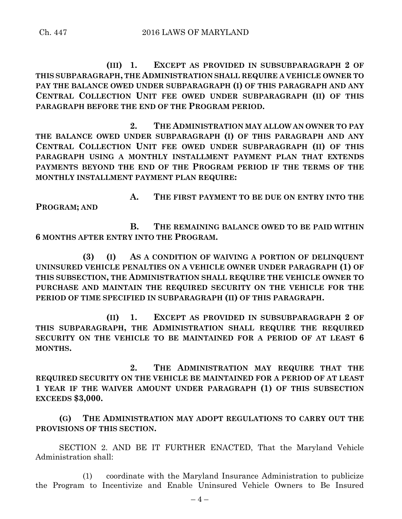**(III) 1. EXCEPT AS PROVIDED IN SUBSUBPARAGRAPH 2 OF THIS SUBPARAGRAPH, THE ADMINISTRATION SHALL REQUIRE A VEHICLE OWNER TO PAY THE BALANCE OWED UNDER SUBPARAGRAPH (I) OF THIS PARAGRAPH AND ANY CENTRAL COLLECTION UNIT FEE OWED UNDER SUBPARAGRAPH (II) OF THIS PARAGRAPH BEFORE THE END OF THE PROGRAM PERIOD.**

**2. THE ADMINISTRATION MAY ALLOW AN OWNER TO PAY THE BALANCE OWED UNDER SUBPARAGRAPH (I) OF THIS PARAGRAPH AND ANY CENTRAL COLLECTION UNIT FEE OWED UNDER SUBPARAGRAPH (II) OF THIS PARAGRAPH USING A MONTHLY INSTALLMENT PAYMENT PLAN THAT EXTENDS PAYMENTS BEYOND THE END OF THE PROGRAM PERIOD IF THE TERMS OF THE MONTHLY INSTALLMENT PAYMENT PLAN REQUIRE:**

**A. THE FIRST PAYMENT TO BE DUE ON ENTRY INTO THE PROGRAM; AND**

**B. THE REMAINING BALANCE OWED TO BE PAID WITHIN 6 MONTHS AFTER ENTRY INTO THE PROGRAM.**

**(3) (I) AS A CONDITION OF WAIVING A PORTION OF DELINQUENT UNINSURED VEHICLE PENALTIES ON A VEHICLE OWNER UNDER PARAGRAPH (1) OF THIS SUBSECTION, THE ADMINISTRATION SHALL REQUIRE THE VEHICLE OWNER TO PURCHASE AND MAINTAIN THE REQUIRED SECURITY ON THE VEHICLE FOR THE PERIOD OF TIME SPECIFIED IN SUBPARAGRAPH (II) OF THIS PARAGRAPH.**

**(II) 1. EXCEPT AS PROVIDED IN SUBSUBPARAGRAPH 2 OF THIS SUBPARAGRAPH, THE ADMINISTRATION SHALL REQUIRE THE REQUIRED SECURITY ON THE VEHICLE TO BE MAINTAINED FOR A PERIOD OF AT LEAST 6 MONTHS.**

**2. THE ADMINISTRATION MAY REQUIRE THAT THE REQUIRED SECURITY ON THE VEHICLE BE MAINTAINED FOR A PERIOD OF AT LEAST 1 YEAR IF THE WAIVER AMOUNT UNDER PARAGRAPH (1) OF THIS SUBSECTION EXCEEDS \$3,000.**

**(G) THE ADMINISTRATION MAY ADOPT REGULATIONS TO CARRY OUT THE PROVISIONS OF THIS SECTION.**

SECTION 2. AND BE IT FURTHER ENACTED, That the Maryland Vehicle Administration shall:

(1) coordinate with the Maryland Insurance Administration to publicize the Program to Incentivize and Enable Uninsured Vehicle Owners to Be Insured